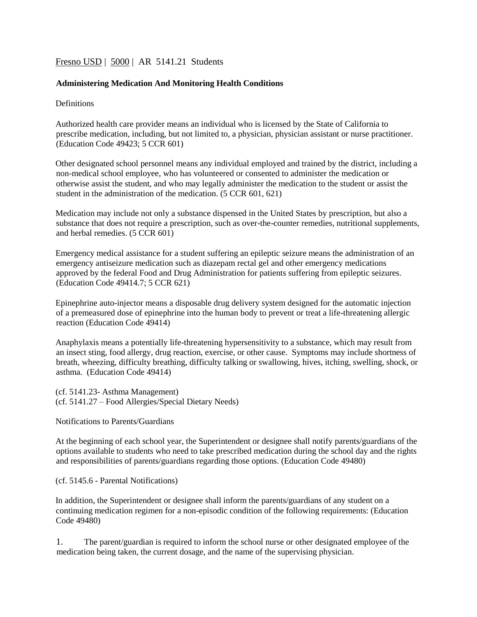# [Fresno USD](http://www.fresnounified.org/board/policies/Policies/fusd/loaddistrictpolicy/1050.htm) | [5000](http://www.fresnounified.org/board/policies/Policies/fusd/policycategorylist/1050/5.htm) | AR 5141.21 Students

### **Administering Medication And Monitoring Health Conditions**

**Definitions** 

Authorized health care provider means an individual who is licensed by the State of California to prescribe medication, including, but not limited to, a physician, physician assistant or nurse practitioner. (Education Code [49423;](http://gamutonline.net/displayPolicy/132359/5) 5 CCR [601\)](http://gamutonline.net/displayPolicy/316484/5)

Other designated school personnel means any individual employed and trained by the district, including a non-medical school employee, who has volunteered or consented to administer the medication or otherwise assist the student, and who may legally administer the medication to the student or assist the student in the administration of the medication. (5 CCR [601,](http://www.fresnounified.org/board/policies/Policies/fusd/displaypolicy/316484/5.htm) 621)

Medication may include not only a substance dispensed in the United States by prescription, but also a substance that does not require a prescription, such as over-the-counter remedies, nutritional supplements, and herbal remedies. (5 CC[R 601\)](http://www.fresnounified.org/board/policies/Policies/fusd/displaypolicy/316484/5.htm) 

Emergency medical assistance for a student suffering an epileptic seizure means the administration of an emergency antiseizure medication such as diazepam rectal gel and other emergency medications approved by the federal Food and Drug Administration for patients suffering from epileptic seizures. (Education Code [49414.7;](http://gamutonline.net/displayPolicy/721539/5) 5 CCR [621\)](http://gamutonline.net/displayPolicy/821205/5)

Epinephrine auto-injector means a disposable drug delivery system designed for the automatic injection of a premeasured dose of epinephrine into the human body to prevent or treat a life-threatening allergic reaction (Education Code 49414)

Anaphylaxis means a potentially life-threatening hypersensitivity to a substance, which may result from an insect sting, food allergy, drug reaction, exercise, or other cause. Symptoms may include shortness of breath, wheezing, difficulty breathing, difficulty talking or swallowing, hives, itching, swelling, shock, or asthma. (Education Code 49414)

(cf. 5141.23- Asthma Management) (cf. 5141.27 – Food Allergies/Special Dietary Needs)

Notifications to Parents/Guardians

At the beginning of each school year, the Superintendent or designee shall notify parents/guardians of the options available to students who need to take prescribed medication during the school day and the rights and responsibilities of parents/guardians regarding those options. (Education Code [49480\)](http://gamutonline.net/displayPolicy/132379/5)

(cf. [5145.6 -](http://gamutonline.net/displayPolicy/222839/5) Parental Notifications)

In addition, the Superintendent or designee shall inform the parents/guardians of any student on a continuing medication regimen for a non-episodic condition of the following requirements: (Education Cod[e 49480\)](http://gamutonline.net/displayPolicy/132379/5)

1. The parent/guardian is required to inform the school nurse or other designated employee of the medication being taken, the current dosage, and the name of the supervising physician.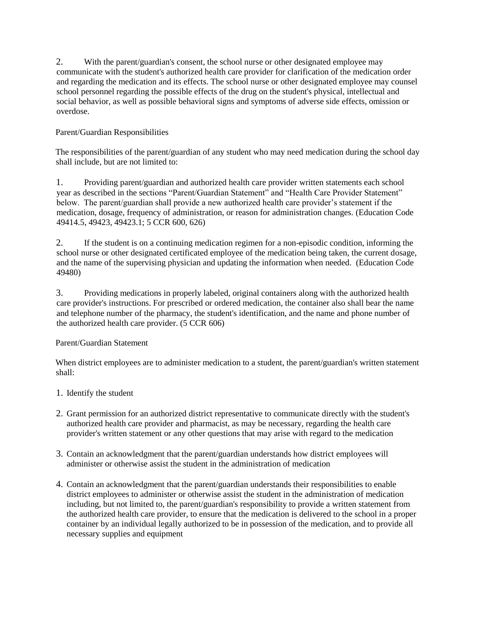2. With the parent/guardian's consent, the school nurse or other designated employee may communicate with the student's authorized health care provider for clarification of the medication order and regarding the medication and its effects. The school nurse or other designated employee may counsel school personnel regarding the possible effects of the drug on the student's physical, intellectual and social behavior, as well as possible behavioral signs and symptoms of adverse side effects, omission or overdose.

## Parent/Guardian Responsibilities

The responsibilities of the parent/guardian of any student who may need medication during the school day shall include, but are not limited to:

1. Providing parent/guardian and authorized health care provider written statements each school year as described in the sections "Parent/Guardian Statement" and "Health Care Provider Statement" below. The parent/guardian shall provide a new authorized health care provider's statement if the medication, dosage, frequency of administration, or reason for administration changes. (Education Code 49414.5, 49423, 49423.1; 5 CCR 600, 626)

2. If the student is on a continuing medication regimen for a non-episodic condition, informing the school nurse or other designated certificated employee of the medication being taken, the current dosage, and the name of the supervising physician and updating the information when needed. (Education Code 49480)

3. Providing medications in properly labeled, original containers along with the authorized health care provider's instructions. For prescribed or ordered medication, the container also shall bear the name and telephone number of the pharmacy, the student's identification, and the name and phone number of the authorized health care provider. (5 CCR [606\)](http://www.gamutonline.net/displayPolicy/316489/5)

#### Parent/Guardian Statement

When district employees are to administer medication to a student, the parent/guardian's written statement shall:

- 1. Identify the student
- 2. Grant permission for an authorized district representative to communicate directly with the student's authorized health care provider and pharmacist, as may be necessary, regarding the health care provider's written statement or any other questions that may arise with regard to the medication
- 3. Contain an acknowledgment that the parent/guardian understands how district employees will administer or otherwise assist the student in the administration of medication
- 4. Contain an acknowledgment that the parent/guardian understands their responsibilities to enable district employees to administer or otherwise assist the student in the administration of medication including, but not limited to, the parent/guardian's responsibility to provide a written statement from the authorized health care provider, to ensure that the medication is delivered to the school in a proper container by an individual legally authorized to be in possession of the medication, and to provide all necessary supplies and equipment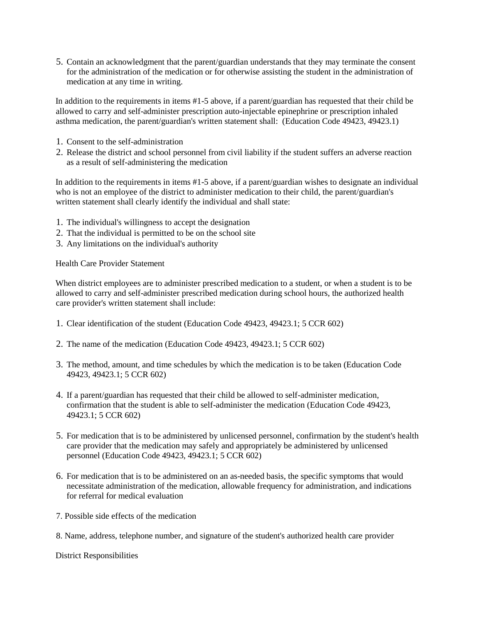5. Contain an acknowledgment that the parent/guardian understands that they may terminate the consent for the administration of the medication or for otherwise assisting the student in the administration of medication at any time in writing.

In addition to the requirements in items #1-5 above, if a parent/guardian has requested that their child be allowed to carry and self-administer prescription auto-injectable epinephrine or prescription inhaled asthma medication, the parent/guardian's written statement shall: (Education Code 49423, 49423.1)

- 1. Consent to the self-administration
- 2. Release the district and school personnel from civil liability if the student suffers an adverse reaction as a result of self-administering the medication

In addition to the requirements in items #1-5 above, if a parent/guardian wishes to designate an individual who is not an employee of the district to administer medication to their child, the parent/guardian's written statement shall clearly identify the individual and shall state:

- 1. The individual's willingness to accept the designation
- 2. That the individual is permitted to be on the school site
- 3. Any limitations on the individual's authority

Health Care Provider Statement

When district employees are to administer prescribed medication to a student, or when a student is to be allowed to carry and self-administer prescribed medication during school hours, the authorized health care provider's written statement shall include:

- 1. Clear identification of the student (Education Code 49423, 49423.1; 5 CCR 602)
- 2. The name of the medication (Education Code 49423, 49423.1; 5 CCR 602)
- 3. The method, amount, and time schedules by which the medication is to be taken (Education Code 49423, 49423.1; 5 CCR 602)
- 4. If a parent/guardian has requested that their child be allowed to self-administer medication, confirmation that the student is able to self-administer the medication (Education Code 49423, 49423.1; 5 CCR 602)
- 5. For medication that is to be administered by unlicensed personnel, confirmation by the student's health care provider that the medication may safely and appropriately be administered by unlicensed personnel (Education Code [49423,](http://www.gamutonline.net/displayPolicy/132359/5) [49423.1;](http://www.gamutonline.net/displayPolicy/352082/5) 5 CC[R 602\)](http://www.gamutonline.net/displayPolicy/316485/5)
- 6. For medication that is to be administered on an as-needed basis, the specific symptoms that would necessitate administration of the medication, allowable frequency for administration, and indications for referral for medical evaluation
- 7. Possible side effects of the medication
- 8. Name, address, telephone number, and signature of the student's authorized health care provider

District Responsibilities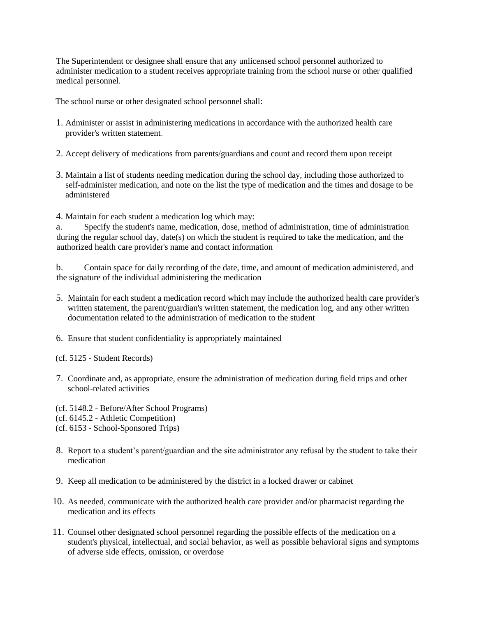The Superintendent or designee shall ensure that any unlicensed school personnel authorized to administer medication to a student receives appropriate training from the school nurse or other qualified medical personnel.

The school nurse or other designated school personnel shall:

- 1. Administer or assist in administering medications in accordance with the authorized health care provider's written statement.
- 2. Accept delivery of medications from parents/guardians and count and record them upon receipt
- 3. Maintain a list of students needing medication during the school day, including those authorized to self-administer medication, and note on the list the type of medi**c**ation and the times and dosage to be administered
- 4. Maintain for each student a medication log which may:

a. Specify the student's name, medication, dose, method of administration, time of administration during the regular school day, date(s) on which the student is required to take the medication, and the authorized health care provider's name and contact information

b. Contain space for daily recording of the date, time, and amount of medication administered, and the signature of the individual administering the medication

- 5. Maintain for each student a medication record which may include the authorized health care provider's written statement, the parent/guardian's written statement, the medication log, and any other written documentation related to the administration of medication to the student
- 6. Ensure that student confidentiality is appropriately maintained
- (cf. 5125 Student Records)
- 7. Coordinate and, as appropriate, ensure the administration of medication during field trips and other school-related activities
- (cf. 5148.2 Before/After School Programs)
- (cf. 6145.2 Athletic Competition)
- (cf. 6153 School-Sponsored Trips)
- 8. Report to a student's parent/guardian and the site administrator any refusal by the student to take their medication
- 9. Keep all medication to be administered by the district in a locked drawer or cabinet
- 10. As needed, communicate with the authorized health care provider and/or pharmacist regarding the medication and its effects
- 11. Counsel other designated school personnel regarding the possible effects of the medication on a student's physical, intellectual, and social behavior, as well as possible behavioral signs and symptoms of adverse side effects, omission, or overdose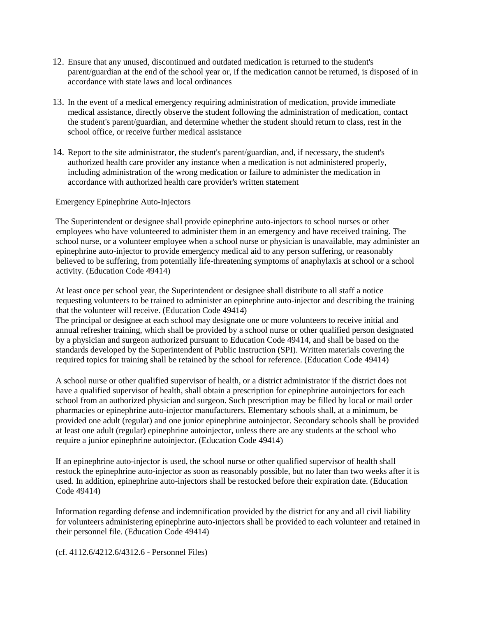- 12. Ensure that any unused, discontinued and outdated medication is returned to the student's parent/guardian at the end of the school year or, if the medication cannot be returned, is disposed of in accordance with state laws and local ordinances
- 13. In the event of a medical emergency requiring administration of medication, provide immediate medical assistance, directly observe the student following the administration of medication, contact the student's parent/guardian, and determine whether the student should return to class, rest in the school office, or receive further medical assistance
- 14. Report to the site administrator, the student's parent/guardian, and, if necessary, the student's authorized health care provider any instance when a medication is not administered properly, including administration of the wrong medication or failure to administer the medication in accordance with authorized health care provider's written statement

#### Emergency Epinephrine Auto-Injectors

The Superintendent or designee shall provide epinephrine auto-injectors to school nurses or other employees who have volunteered to administer them in an emergency and have received training. The school nurse, or a volunteer employee when a school nurse or physician is unavailable, may administer an epinephrine auto-injector to provide emergency medical aid to any person suffering, or reasonably believed to be suffering, from potentially life-threatening symptoms of anaphylaxis at school or a school activity. (Education Code [49414\)](http://gamutonline.net/displayPolicy/249240/5)

At least once per school year, the Superintendent or designee shall distribute to all staff a notice requesting volunteers to be trained to administer an epinephrine auto-injector and describing the training that the volunteer will receive. (Education Code [49414\)](http://gamutonline.net/displayPolicy/249240/5)

The principal or designee at each school may designate one or more volunteers to receive initial and annual refresher training, which shall be provided by a school nurse or other qualified person designated by a physician and surgeon authorized pursuant to Education Code [49414,](http://gamutonline.net/displayPolicy/249240/5) and shall be based on the standards developed by the Superintendent of Public Instruction (SPI). Written materials covering the required topics for training shall be retained by the school for reference. (Education Code [49414\)](http://gamutonline.net/displayPolicy/249240/5)

A school nurse or other qualified supervisor of health, or a district administrator if the district does not have a qualified supervisor of health, shall obtain a prescription for epinephrine autoinjectors for each school from an authorized physician and surgeon. Such prescription may be filled by local or mail order pharmacies or epinephrine auto-injector manufacturers. Elementary schools shall, at a minimum, be provided one adult (regular) and one junior epinephrine autoinjector. Secondary schools shall be provided at least one adult (regular) epinephrine autoinjector, unless there are any students at the school who require a junior epinephrine autoinjector. (Education Code [49414\)](http://gamutonline.net/displayPolicy/249240/5)

If an epinephrine auto-injector is used, the school nurse or other qualified supervisor of health shall restock the epinephrine auto-injector as soon as reasonably possible, but no later than two weeks after it is used. In addition, epinephrine auto-injectors shall be restocked before their expiration date. (Education Cod[e 49414\)](http://gamutonline.net/displayPolicy/249240/5)

Information regarding defense and indemnification provided by the district for any and all civil liability for volunteers administering epinephrine auto-injectors shall be provided to each volunteer and retained in their personnel file. (Education Code [49414\)](http://gamutonline.net/displayPolicy/249240/5)

(cf. [4112.6/4212.6](http://gamutonline.net/displayPolicy/234061/5)[/4312.6 -](http://gamutonline.net/displayPolicy/234063/5) Personnel Files)